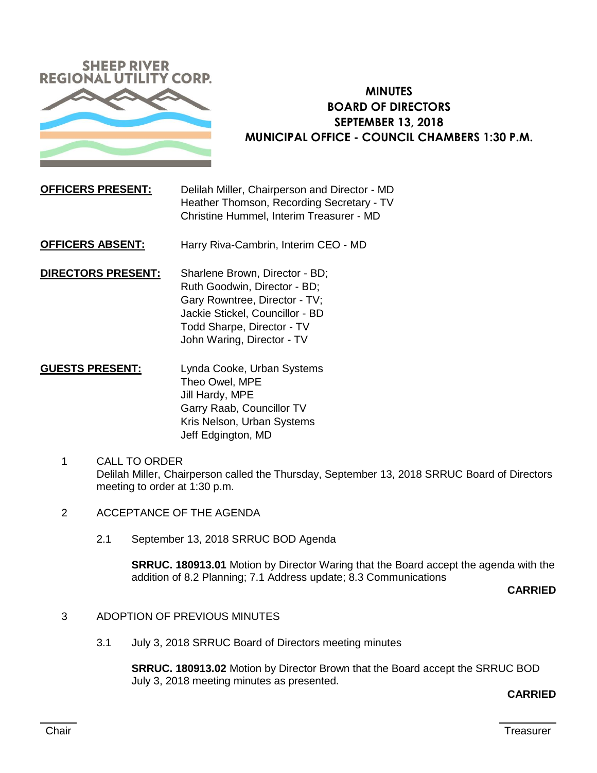

# **MINUTES BOARD OF DIRECTORS SEPTEMBER 13, 2018 MUNICIPAL OFFICE - COUNCIL CHAMBERS 1:30 P.M.**

## **OFFICERS PRESENT:** Delilah Miller, Chairperson and Director - MD Heather Thomson, Recording Secretary - TV Christine Hummel, Interim Treasurer - MD

**OFFICERS ABSENT:** Harry Riva-Cambrin, Interim CEO - MD

**DIRECTORS PRESENT:** Sharlene Brown, Director - BD; Ruth Goodwin, Director - BD; Gary Rowntree, Director - TV; Jackie Stickel, Councillor - BD Todd Sharpe, Director - TV John Waring, Director - TV

- **GUESTS PRESENT:** Lynda Cooke, Urban Systems Theo Owel, MPE Jill Hardy, MPE Garry Raab, Councillor TV Kris Nelson, Urban Systems Jeff Edgington, MD
	- 1 CALL TO ORDER Delilah Miller, Chairperson called the Thursday, September 13, 2018 SRRUC Board of Directors meeting to order at 1:30 p.m.
	- 2 ACCEPTANCE OF THE AGENDA
		- 2.1 September 13, 2018 SRRUC BOD Agenda

**SRRUC. 180913.01** Motion by Director Waring that the Board accept the agenda with the addition of 8.2 Planning; 7.1 Address update; 8.3 Communications

**CARRIED**

- 3 ADOPTION OF PREVIOUS MINUTES
	- 3.1 July 3, 2018 SRRUC Board of Directors meeting minutes

**SRRUC. 180913.02** Motion by Director Brown that the Board accept the SRRUC BOD July 3, 2018 meeting minutes as presented.

#### **CARRIED**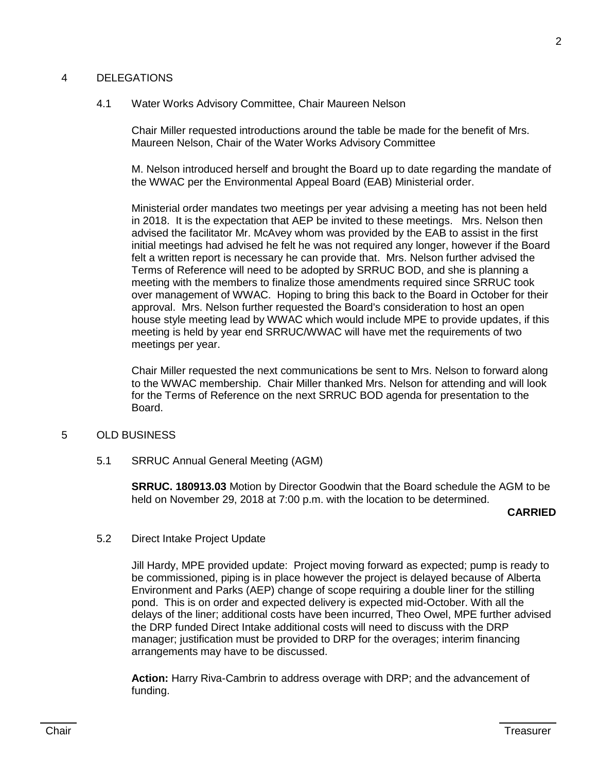#### 4 DELEGATIONS

#### 4.1 Water Works Advisory Committee, Chair Maureen Nelson

Chair Miller requested introductions around the table be made for the benefit of Mrs. Maureen Nelson, Chair of the Water Works Advisory Committee

M. Nelson introduced herself and brought the Board up to date regarding the mandate of the WWAC per the Environmental Appeal Board (EAB) Ministerial order.

Ministerial order mandates two meetings per year advising a meeting has not been held in 2018. It is the expectation that AEP be invited to these meetings. Mrs. Nelson then advised the facilitator Mr. McAvey whom was provided by the EAB to assist in the first initial meetings had advised he felt he was not required any longer, however if the Board felt a written report is necessary he can provide that. Mrs. Nelson further advised the Terms of Reference will need to be adopted by SRRUC BOD, and she is planning a meeting with the members to finalize those amendments required since SRRUC took over management of WWAC. Hoping to bring this back to the Board in October for their approval. Mrs. Nelson further requested the Board's consideration to host an open house style meeting lead by WWAC which would include MPE to provide updates, if this meeting is held by year end SRRUC/WWAC will have met the requirements of two meetings per year.

Chair Miller requested the next communications be sent to Mrs. Nelson to forward along to the WWAC membership. Chair Miller thanked Mrs. Nelson for attending and will look for the Terms of Reference on the next SRRUC BOD agenda for presentation to the Board.

## 5 OLD BUSINESS

5.1 SRRUC Annual General Meeting (AGM)

**SRRUC. 180913.03** Motion by Director Goodwin that the Board schedule the AGM to be held on November 29, 2018 at 7:00 p.m. with the location to be determined.

**CARRIED**

#### 5.2 Direct Intake Project Update

Jill Hardy, MPE provided update: Project moving forward as expected; pump is ready to be commissioned, piping is in place however the project is delayed because of Alberta Environment and Parks (AEP) change of scope requiring a double liner for the stilling pond. This is on order and expected delivery is expected mid-October. With all the delays of the liner; additional costs have been incurred, Theo Owel, MPE further advised the DRP funded Direct Intake additional costs will need to discuss with the DRP manager; justification must be provided to DRP for the overages; interim financing arrangements may have to be discussed.

**Action:** Harry Riva-Cambrin to address overage with DRP; and the advancement of funding.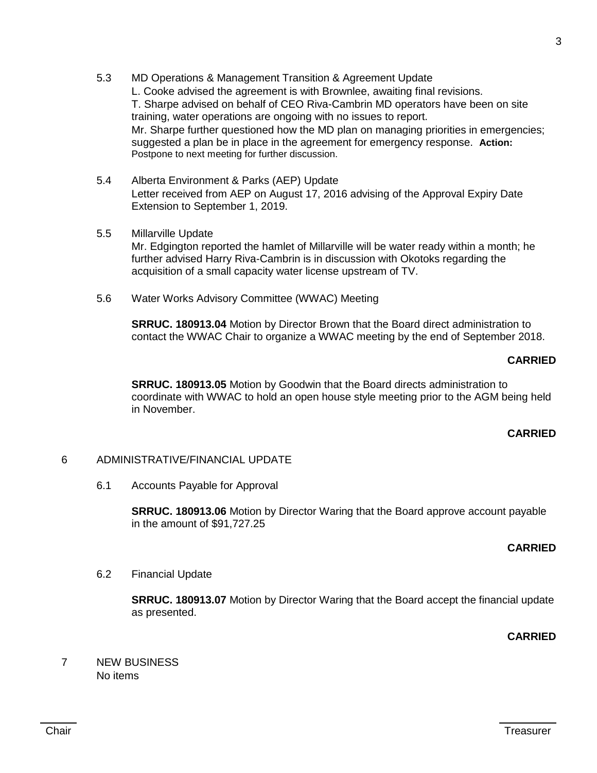- 5.3 MD Operations & Management Transition & Agreement Update L. Cooke advised the agreement is with Brownlee, awaiting final revisions. T. Sharpe advised on behalf of CEO Riva-Cambrin MD operators have been on site training, water operations are ongoing with no issues to report. Mr. Sharpe further questioned how the MD plan on managing priorities in emergencies; suggested a plan be in place in the agreement for emergency response. **Action:**  Postpone to next meeting for further discussion.
- 5.4 Alberta Environment & Parks (AEP) Update Letter received from AEP on August 17, 2016 advising of the Approval Expiry Date Extension to September 1, 2019.
- 5.5 Millarville Update Mr. Edgington reported the hamlet of Millarville will be water ready within a month; he further advised Harry Riva-Cambrin is in discussion with Okotoks regarding the acquisition of a small capacity water license upstream of TV.
- 5.6 Water Works Advisory Committee (WWAC) Meeting

**SRRUC. 180913.04** Motion by Director Brown that the Board direct administration to contact the WWAC Chair to organize a WWAC meeting by the end of September 2018.

## **CARRIED**

**SRRUC. 180913.05** Motion by Goodwin that the Board directs administration to coordinate with WWAC to hold an open house style meeting prior to the AGM being held in November.

### **CARRIED**

## 6 ADMINISTRATIVE/FINANCIAL UPDATE

6.1 Accounts Payable for Approval

**SRRUC. 180913.06** Motion by Director Waring that the Board approve account payable in the amount of \$91,727.25

### **CARRIED**

### 6.2 Financial Update

**SRRUC. 180913.07** Motion by Director Waring that the Board accept the financial update as presented.

**CARRIED**

7 NEW BUSINESS No items